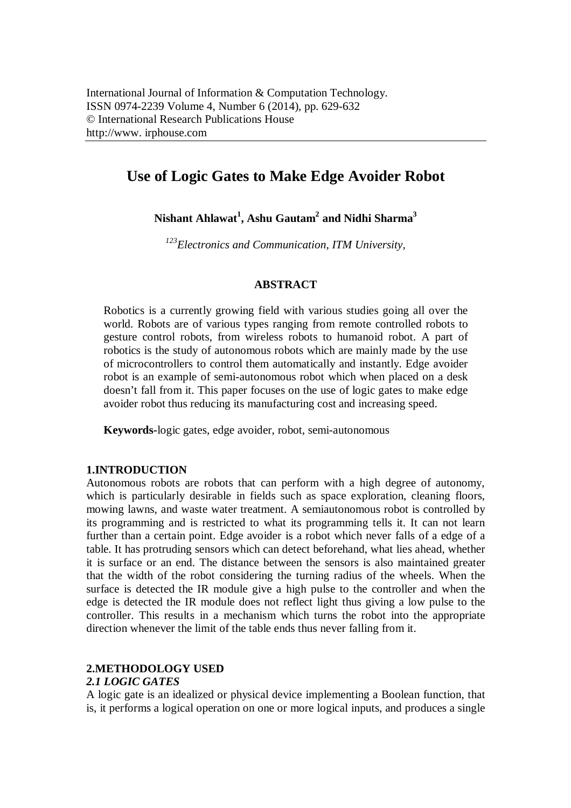# **Use of Logic Gates to Make Edge Avoider Robot**

**Nishant Ahlawat<sup>1</sup> , Ashu Gautam<sup>2</sup> and Nidhi Sharma<sup>3</sup>**

*<sup>123</sup>Electronics and Communication, ITM University,* 

### **ABSTRACT**

Robotics is a currently growing field with various studies going all over the world. Robots are of various types ranging from remote controlled robots to gesture control robots, from wireless robots to humanoid robot. A part of robotics is the study of autonomous robots which are mainly made by the use of microcontrollers to control them automatically and instantly. Edge avoider robot is an example of semi-autonomous robot which when placed on a desk doesn't fall from it. This paper focuses on the use of logic gates to make edge avoider robot thus reducing its manufacturing cost and increasing speed.

**Keywords-**logic gates, edge avoider, robot, semi-autonomous

## **1.INTRODUCTION**

Autonomous robots are robots that can perform with a high degree of autonomy, which is particularly desirable in fields such as space exploration, cleaning floors, mowing lawns, and waste water treatment. A semiautonomous robot is controlled by its programming and is restricted to what its programming tells it. It can not learn further than a certain point. Edge avoider is a robot which never falls of a edge of a table. It has protruding sensors which can detect beforehand, what lies ahead, whether it is surface or an end. The distance between the sensors is also maintained greater that the width of the robot considering the turning radius of the wheels. When the surface is detected the IR module give a high pulse to the controller and when the edge is detected the IR module does not reflect light thus giving a low pulse to the controller. This results in a mechanism which turns the robot into the appropriate direction whenever the limit of the table ends thus never falling from it.

## **2.METHODOLOGY USED**

## *2.1 LOGIC GATES*

A logic gate is an idealized or physical device implementing a Boolean function, that is, it performs a logical operation on one or more logical inputs, and produces a single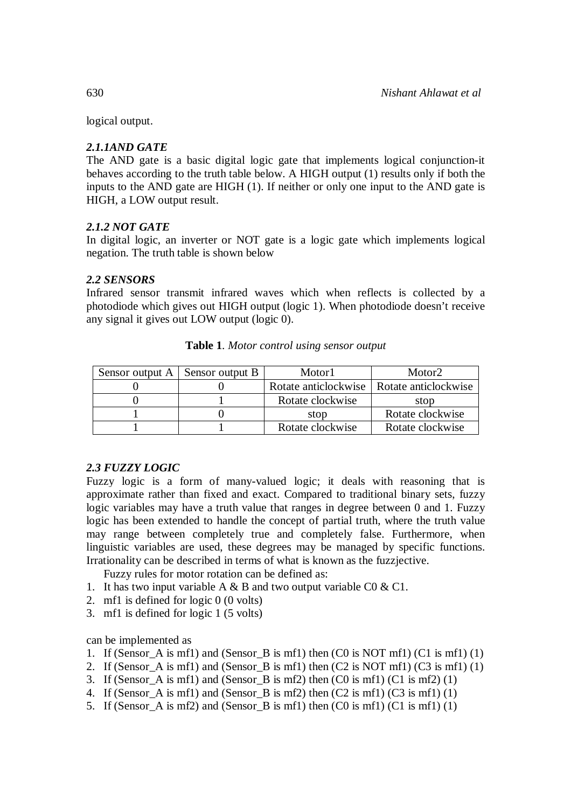logical output.

# *2.1.1AND GATE*

The AND gate is a basic digital logic gate that implements logical conjunction-it behaves according to the truth table below. A HIGH output (1) results only if both the inputs to the AND gate are HIGH (1). If neither or only one input to the AND gate is HIGH, a LOW output result.

# *2.1.2 NOT GATE*

In digital logic, an inverter or NOT gate is a logic gate which implements logical negation. The truth table is shown below

# *2.2 SENSORS*

Infrared sensor transmit infrared waves which when reflects is collected by a photodiode which gives out HIGH output (logic 1). When photodiode doesn't receive any signal it gives out LOW output (logic 0).

| Sensor output $A \mid$ Sensor output B | Motor1               | Motor <sub>2</sub>   |
|----------------------------------------|----------------------|----------------------|
|                                        | Rotate anticlockwise | Rotate anticlockwise |
|                                        | Rotate clockwise     | stop                 |
|                                        | stop                 | Rotate clockwise     |
|                                        | Rotate clockwise     | Rotate clockwise     |

**Table 1**. *Motor control using sensor output*

# *2.3 FUZZY LOGIC*

Fuzzy logic is a form of many-valued logic; it deals with reasoning that is approximate rather than fixed and exact. Compared to traditional binary sets, fuzzy logic variables may have a truth value that ranges in degree between 0 and 1. Fuzzy logic has been extended to handle the concept of partial truth, where the truth value may range between completely true and completely false. Furthermore, when linguistic variables are used, these degrees may be managed by specific functions. Irrationality can be described in terms of what is known as the fuzzjective.

Fuzzy rules for motor rotation can be defined as:

- 1. It has two input variable A  $\&$  B and two output variable C0  $\&$  C1.
- 2. mf1 is defined for logic 0 (0 volts)
- 3. mf1 is defined for logic 1 (5 volts)

can be implemented as

- 1. If (Sensor\_A is mf1) and (Sensor\_B is mf1) then (C0 is NOT mf1) (C1 is mf1) (1)
- 2. If (Sensor A is mf1) and (Sensor B is mf1) then  $(C2$  is NOT mf1)  $(C3$  is mf1) (1)
- 3. If (Sensor A is mf1) and (Sensor B is mf2) then  $(C0$  is mf1)  $(C1$  is mf2)  $(1)$
- 4. If (Sensor A is mf1) and (Sensor B is mf2) then  $(C2$  is mf1)  $(C3$  is mf1)  $(1)$
- 5. If (Sensor\_A is mf2) and (Sensor\_B is mf1) then (C0 is mf1) (C1 is mf1) (1)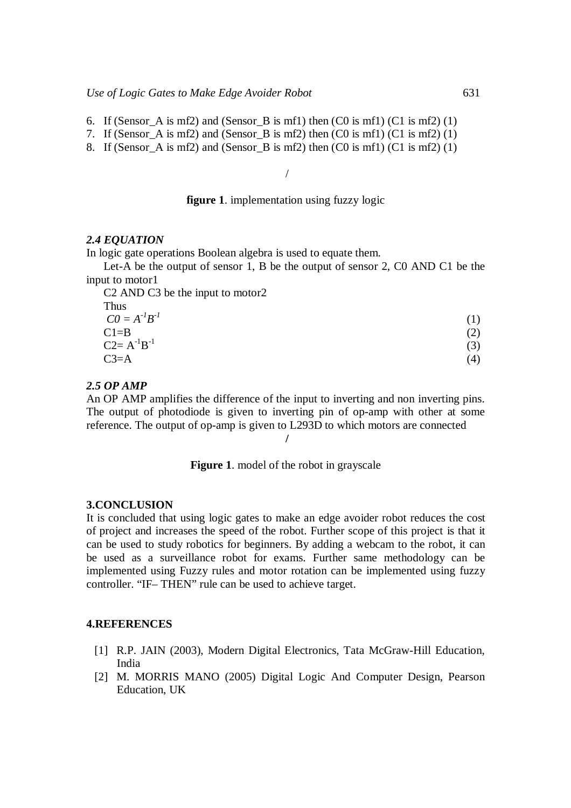- 6. If (Sensor A is mf2) and (Sensor B is mf1) then  $(C0$  is mf1)  $(C1$  is mf2) (1)
- 7. If (Sensor A is mf2) and (Sensor B is mf2) then  $(C0$  is mf1)  $(C1$  is mf2)  $(1)$
- 8. If (Sensor A is mf2) and (Sensor B is mf2) then  $(C0$  is mf1)  $(C1$  is mf2) (1)

/

### **figure 1**. implementation using fuzzy logic

#### *2.4 EQUATION*

In logic gate operations Boolean algebra is used to equate them.

Let-A be the output of sensor 1, B be the output of sensor 2, C0 AND C1 be the input to motor1

C2 AND C3 be the input to motor2

| Thus                |     |
|---------------------|-----|
| $CO = A^{-1}B^{-1}$ | (1) |
| $Cl = B$            | (2) |
| $C2 = A^{-1}B^{-1}$ | (3) |
| $C3=A$              | (4) |

#### *2.5 OP AMP*

An OP AMP amplifies the difference of the input to inverting and non inverting pins. The output of photodiode is given to inverting pin of op-amp with other at some reference. The output of op-amp is given to L293D to which motors are connected

**/** 

**Figure 1**. model of the robot in grayscale

#### **3.CONCLUSION**

It is concluded that using logic gates to make an edge avoider robot reduces the cost of project and increases the speed of the robot. Further scope of this project is that it can be used to study robotics for beginners. By adding a webcam to the robot, it can be used as a surveillance robot for exams. Further same methodology can be implemented using Fuzzy rules and motor rotation can be implemented using fuzzy controller. "IF– THEN" rule can be used to achieve target.

#### **4.REFERENCES**

- [1] R.P. JAIN (2003), Modern Digital Electronics, Tata McGraw-Hill Education, India
- [2] M. MORRIS MANO (2005) Digital Logic And Computer Design, Pearson Education, UK